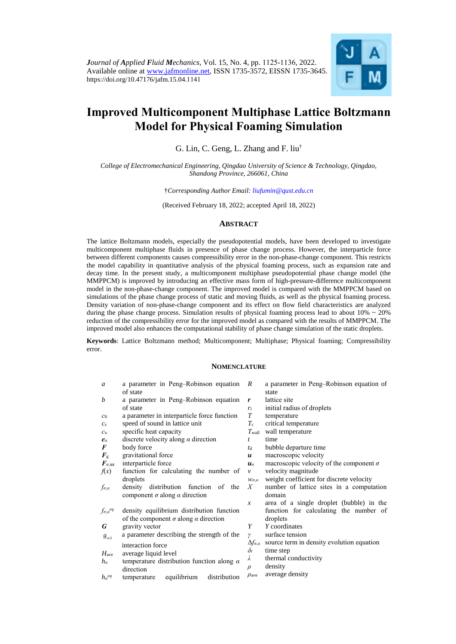

# **Improved Multicomponent Multiphase Lattice Boltzmann Model for Physical Foaming Simulation**

G. Lin, C. Geng, L. Zhang and F. liu†

*College of Electromechanical Engineering, Qingdao University of Science & Technology, Qingdao, Shandong Province, 266061, China*

†*Corresponding Author Email: [liufumin@qust.edu.cn](mailto:liufumin@qust.edu.cn)*

(Received February 18, 2022; accepted April 18, 2022)

## **ABSTRACT**

The lattice Boltzmann models, especially the pseudopotential models, have been developed to investigate multicomponent multiphase fluids in presence of phase change process. However, the interparticle force between different components causes compressibility error in the non-phase-change component. This restricts the model capability in quantitative analysis of the physical foaming process, such as expansion rate and decay time. In the present study, a multicomponent multiphase pseudopotential phase change model (the MMPPCM) is improved by introducing an effective mass form of high-pressure-difference multicomponent model in the non-phase-change component. The improved model is compared with the MMPPCM based on simulations of the phase change process of static and moving fluids, as well as the physical foaming process. Density variation of non-phase-change component and its effect on flow field characteristics are analyzed during the phase change process. Simulation results of physical foaming process lead to about  $10\% \sim 20\%$ reduction of the compressibility error for the improved model as compared with the results of MMPPCM. The improved model also enhances the computational stability of phase change simulation of the static droplets.

**Keywords**: Lattice Boltzmann method; Multicomponent; Multiphase; Physical foaming; Compressibility error.

## **NOMENCLATURE**

| a                                     | a parameter in Peng-Robinson equation              | R                     | a parameter in Peng-Robinson equation of       |
|---------------------------------------|----------------------------------------------------|-----------------------|------------------------------------------------|
|                                       | of state                                           |                       | state                                          |
| b                                     | a parameter in Peng-Robinson equation              | r                     | lattice site                                   |
|                                       | of state                                           | $r_i$                 | initial radius of droplets                     |
| $\mathcal{C}^0$                       | a parameter in interparticle force function        | T                     | temperature                                    |
| $c_s$                                 | speed of sound in lattice unit                     | $T_{\rm c}$           | critical temperature                           |
| $c_{v}$                               | specific heat capacity                             | $T_{\mathrm{wall}}$   | wall temperature                               |
| $e_a$                                 | discrete velocity along $\alpha$ direction         | $\boldsymbol{t}$      | time                                           |
| $\boldsymbol{F}$                      | body force                                         | $t_{\rm d}$           | bubble departure time                          |
| $F_{\rm g}$                           | gravitational force                                | $\boldsymbol{u}$      | macroscopic velocity                           |
| $\boldsymbol{F}_{\sigma, \text{int}}$ | interparticle force                                | $u_{\sigma}$          | macroscopic velocity of the component $\sigma$ |
| f(x)                                  | function for calculating the number of             | $\mathcal V$          | velocity magnitude                             |
|                                       | droplets                                           | $W\sigma_{\alpha}a$   | weight coefficient for discrete velocity       |
| $f_{\sigma,a}$                        | density distribution function of the               | X                     | number of lattice sites in a computation       |
|                                       | component $\sigma$ along $\alpha$ direction        |                       | domain                                         |
|                                       |                                                    | $\boldsymbol{x}$      | area of a single droplet (bubble) in the       |
| $f_{\sigma,\alpha}$ eq                | density equilibrium distribution function          |                       | function for calculating the number of         |
|                                       | of the component $\sigma$ along $\alpha$ direction |                       | droplets                                       |
| G                                     | gravity vector                                     | Y                     | Y coordinates                                  |
|                                       | a parameter describing the strength of the         | $\gamma$              | surface tension                                |
| $g_{\sigma\bar{\sigma}}$              |                                                    | $\Delta f_{\sigma,a}$ | source term in density evolution equation      |
|                                       | interaction force                                  | $\delta_t$            | time step                                      |
| H <sub>ave</sub>                      | average liquid level                               | λ                     |                                                |
| $h_{\alpha}$                          | temperature distribution function along $\alpha$   |                       | thermal conductivity                           |
|                                       | direction                                          | $\rho$                | density                                        |
| $h_a^{eq}$                            | equilibrium<br>distribution<br>temperature         | $\rho_{ave}$          | average density                                |
|                                       |                                                    |                       |                                                |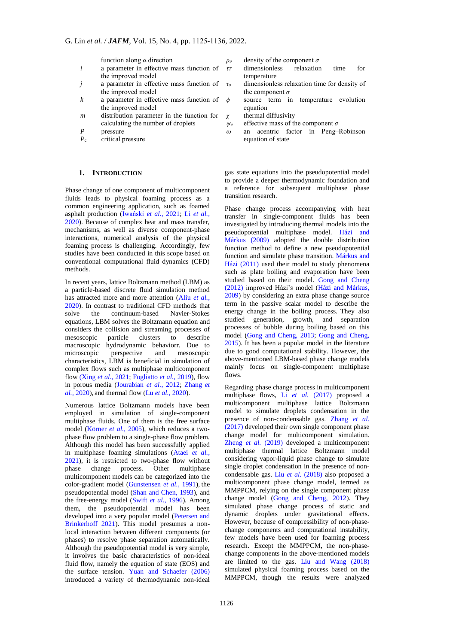- function along *α* direction
- *i* a parameter in effective mass function of the improved model
- *j* a parameter in effective mass function of the improved model
- *k* a parameter in effective mass function of the improved model
- *m* distribution parameter in the function for calculating the number of droplets *P* pressure
- *P*c critical pressure

#### **1. INTRODUCTION**

Phase change of one component of multicomponent fluids leads to physical foaming process as a common engineering application, such as foamed asphalt production [\(Iwański](#page-10-0) *et al.*, 2021; Li *[et al.](#page-10-1)*, [2020\)](#page-10-1). Because of complex heat and mass transfer, mechanisms, as well as diverse component-phase interactions, numerical analysis of the physical foaming process is challenging. Accordingly, few studies have been conducted in this scope based on conventional computational fluid dynamics (CFD) methods.

In recent years, lattice Boltzmann method (LBM) as a particle-based discrete fluid simulation method has attracted more and more attention [\(Aliu](#page-9-0) *et al.*, [2020\)](#page-9-0). In contrast to traditional CFD methods that solve the continuum-based Navier-Stokes equations, LBM solves the Boltzmann equation and considers the collision and streaming processes of mesoscopic particle clusters to describe macroscopic hydrodynamic behaviorr. Due to microscopic perspective and mesoscopic characteristics, LBM is beneficial in simulation of complex flows such as multiphase multicomponent flow (Xing *et al.*[, 2021;](#page-11-0) [Fogliatto](#page-10-2) *et al.*, 2019), flow in porous media [\(Jourabian](#page-10-3) *et al.*, 2012; [Zhang](#page-11-1) *et al.*[, 2020\)](#page-11-1), and thermal flow (Lu *et al.*[, 2020\)](#page-10-4).

Numerous lattice Boltzmann models have been employed in simulation of single-component multiphase fluids. One of them is the free surface model [\(Körner](#page-10-5) *et al.*, 2005), which reduces a twophase flow problem to a single-phase flow problem. Although this model has been successfully applied in multiphase foaming simulations [\(Ataei](#page-9-1) *et al.*, [2021\)](#page-9-1), it is restricted to two-phase flow without phase change process. Other multiphase multicomponent models can be categorized into the color-gradient model [\(Gunstensen](#page-10-6) *et al.*, 1991), the pseudopotential model [\(Shan and Chen, 1993\)](#page-11-2), and the free-energy model (Swift *et al.*[, 1996\)](#page-11-3). Among them, the pseudopotential model has been developed into a very popular model [\(Petersen](#page-10-7) and [Brinkerhoff](#page-10-7) 2021). This model presumes a nonlocal interaction between different components (or phases) to resolve phase separation automatically. Although the pseudopotential model is very simple, it involves the basic characteristics of non-ideal fluid flow, namely the equation of state (EOS) and the surface tension. [Yuan and Schaefer \(2006\)](#page-11-4) introduced a variety of thermodynamic non-ideal

 $\rho_{\sigma}$  density of the component  $\sigma$ 

- *τ<sup>T</sup>* dimensionless relaxation time for temperature
- *τ<sup>σ</sup>* dimensionless relaxation time for density of the component *σ*
- *ϕ* source term in temperature evolution equation
- *χ* thermal diffusivity
- $ψ<sub>σ</sub>$  effective mass of the component  $σ$
- *ω* an acentric factor in Peng–Robinson equation of state

gas state equations into the pseudopotential model to provide a deeper thermodynamic foundation and a reference for subsequent multiphase phase transition research.

Phase change process accompanying with heat transfer in single-component fluids has been investigated by introducing thermal models into the pseudopotential multiphase model. Házi and [Márkus \(2009\)](#page-10-8) adopted the double distribution function method to define a new pseudopotential function and simulate phase transition. [Márkus and](#page-10-9)  Házi [\(2011\)](#page-10-9) used their model to study phenomena such as plate boiling and evaporation have been studied based on their model. Gong and Cheng [\(2012\)](#page-10-10) improved Házi's model [\(Házi and](#page-10-8) Márkus, [2009\)](#page-10-8) by considering an extra phase change source term in the passive scalar model to describe the energy change in the boiling process. They also studied generation, growth, and separation processes of bubble during boiling based on this model [\(Gong and Cheng, 2013;](#page-10-11) [Gong and Cheng,](#page-10-12)  [2015\)](#page-10-12). It has been a popular model in the literature due to good computational stability. However, the above-mentioned LBM-based phase change models mainly focus on single-component multiphase flows.

Regarding phase change process in multicomponent multiphase flows, Li *et al.* [\(2017\)](#page-10-13) proposed a multicomponent multiphase lattice Boltzmann model to simulate droplets condensation in the presence of non-condensable gas. [Zhang](#page-11-5) *et al.* [\(2017\)](#page-11-5) developed their own single component phase change model for multicomponent simulation. [Zheng](#page-11-6) *et al.* (2019) developed a multicomponent multiphase thermal lattice Boltzmann model considering vapor-liquid phase change to simulate single droplet condensation in the presence of noncondensable gas. Liu *et al.* [\(2018\)](#page-10-14) also proposed a multicomponent phase change model, termed as MMPPCM, relying on the single component phase change model [\(Gong and Cheng, 2012\)](#page-10-10). They simulated phase change process of static and dynamic droplets under gravitational effects. However, because of compressibility of non-phasechange components and computational instability, few models have been used for foaming process research. Except the MMPPCM, the non-phasechange components in the above-mentioned models are limited to the gas. [Liu and Wang \(2018\)](#page-10-15) simulated physical foaming process based on the MMPPCM, though the results were analyzed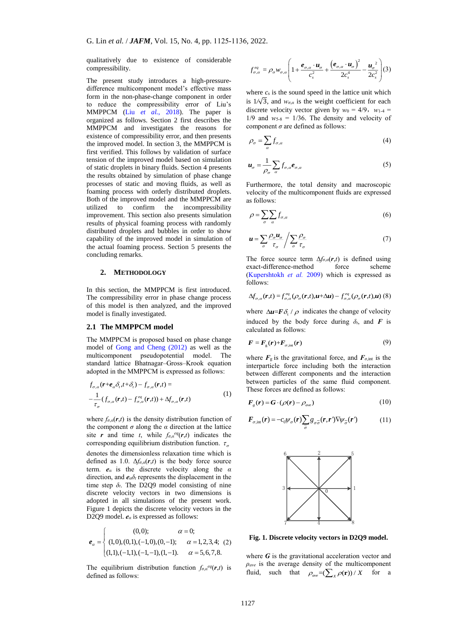qualitatively due to existence of considerable compressibility.

The present study introduces a high-pressuredifference multicomponent model's effective mass form in the non-phase-change component in order to reduce the compressibility error of Liu's MMPPCM (Liu *[et al.](#page-10-14)*, 2018). The paper is organized as follows. Section 2 first describes the MMPPCM and investigates the reasons for existence of compressibility error, and then presents the improved model. In section 3, the MMPPCM is first verified. This follows by validation of surface tension of the improved model based on simulation of static droplets in binary fluids. Section 4 presents the results obtained by simulation of phase change processes of static and moving fluids, as well as foaming process with orderly distributed droplets. Both of the improved model and the MMPPCM are utilized to confirm the incompressibility improvement. This section also presents simulation results of physical foaming process with randomly distributed droplets and bubbles in order to show capability of the improved model in simulation of the actual foaming process. Section 5 presents the concluding remarks.

## **2. METHODOLOGY**

In this section, the MMPPCM is first introduced. The compressibility error in phase change process of this model is then analyzed, and the improved model is finally investigated.

### **2.1 The MMPPCM model**

The MMPPCM is proposed based on phase change model of [Gong and Cheng \(2012\)](#page-10-10) as well as the multicomponent pseudopotential model. The standard lattice Bhatnagar–Gross–Krook equation adopted in the MMPPCM is expressed as follows:

$$
f_{\sigma,a}(\mathbf{r} + \boldsymbol{e}_{a}\delta_{t}, t + \delta_{t}) - f_{\sigma,a}(\mathbf{r}, t) =
$$
  

$$
-\frac{1}{\tau_{\sigma}}(f_{\sigma,a}(\mathbf{r}, t) - f_{\sigma,a}^{eq}(\mathbf{r}, t)) + \Delta f_{\sigma,a}(\mathbf{r}, t)
$$
 (1)

where  $f_{\sigma, \alpha}(r,t)$  is the density distribution function of the component  $\sigma$  along the  $\alpha$  direction at the lattice site *r* and time *t*, while  $f_{\sigma,a}^{eq}(r,t)$  indicates the corresponding equilibrium distribution function.  $\tau_{\sigma}$ denotes the dimensionless relaxation time which is defined as 1.0.  $\Delta f_{\sigma,a}(r,t)$  is the body force source term. *eα* is the discrete velocity along the *α* direction, and *eαδ<sup>t</sup>* represents the displacement in the time step  $\delta_t$ . The D2Q9 model consisting of nine discrete velocity vectors in two dimensions is adopted in all simulations of the present work. Figure 1 depicts the discrete velocity vectors in the D2Q9 model. *e<sup>α</sup>* is expressed as follows:

$$
\boldsymbol{e}_{\alpha} = \begin{cases}\n(0,0); & \alpha = 0; \\
(1,0), (0,1), (-1,0), (0,-1); & \alpha = 1,2,3,4; \\
(1,1), (-1,1), (-1,-1), (1,-1). & \alpha = 5,6,7,8.\n\end{cases}
$$

The equilibrium distribution function  $f_{\sigma,\alpha}^{eq}(r,t)$  is defined as follows:

$$
f_{\sigma,a}^{eq} = \rho_{\sigma} w_{\sigma,a} \left( 1 + \frac{e_{\sigma,a} \cdot u_{\sigma}}{c_s^2} + \frac{\left(e_{\sigma,a} \cdot u_{\sigma}\right)^2}{2c_s^4} - \frac{u_{\sigma}^2}{2c_s^2} \right) (3)
$$

where  $c_s$  is the sound speed in the lattice unit which is  $1/\sqrt{3}$ , and  $w_{\sigma,\alpha}$  is the weight coefficient for each discrete velocity vector given by  $w_0 = 4/9$ ,  $w_{1-4} =$  $1/9$  and  $w_{5-8} = 1/36$ . The density and velocity of component *σ* are defined as follows:

$$
\rho_{\sigma} = \sum_{\alpha} f_{\sigma,\alpha} \tag{4}
$$

$$
\boldsymbol{u}_{\sigma} = \frac{1}{\rho_{\sigma}} \sum_{\alpha} f_{\sigma,\alpha} \boldsymbol{e}_{\sigma,\alpha} \tag{5}
$$

Furthermore, the total density and macroscopic velocity of the multicomponent fluids are expressed as follows:

$$
\rho = \sum_{\sigma} \sum_{\alpha} f_{\sigma,\alpha} \tag{6}
$$

$$
u = \sum_{\sigma} \frac{\rho_{\sigma} u_{\sigma}}{\tau_{\sigma}} / \sum_{\sigma} \frac{\rho_{\sigma}}{\tau_{\sigma}}
$$
(7)

The force source term  $\Delta f_{\sigma,\alpha}(r,t)$  is defined using exact-difference-method force scheme [\(Kupershtokh](#page-10-16) *et al.* 2009) which is expressed as follows:

$$
\Delta f_{\sigma,\alpha}(\boldsymbol{r},t) = f_{\sigma,\alpha}^{eq}(\rho_{\sigma}(\boldsymbol{r},t),\boldsymbol{u}+\Delta\boldsymbol{u}) - f_{\sigma,\alpha}^{eq}(\rho_{\sigma}(\boldsymbol{r},t),\boldsymbol{u})
$$
(8)

where  $\Delta u = F \delta_t / \rho$  indicates the change of velocity induced by the body force during  $\delta$ *t*, and **F** is calculated as follows:

$$
\boldsymbol{F} = \boldsymbol{F}_{\rm g}(\boldsymbol{r}) + \boldsymbol{F}_{\sigma, \rm int}(\boldsymbol{r}) \tag{9}
$$

where  $\vec{F}_{g}$  is the gravitational force, and  $\vec{F}_{g, int}$  is the interparticle force including both the interaction between different components and the interaction between particles of the same fluid component. These forces are defined as follows:

$$
\boldsymbol{F}_{g}(\boldsymbol{r}) = \boldsymbol{G} \cdot (\rho(\boldsymbol{r}) - \rho_{ave}) \tag{10}
$$

$$
\boldsymbol{F}_{\sigma,\text{int}}(\boldsymbol{r}) = -c_0 \boldsymbol{\psi}_{\sigma}(\boldsymbol{r}) \sum_{\overline{\sigma}} g_{\sigma \overline{\sigma}}(\boldsymbol{r}, \boldsymbol{r}') \nabla \boldsymbol{\psi}_{\overline{\sigma}}(\boldsymbol{r}') \qquad (11)
$$



**Fig. 1. Discrete velocity vectors in D2Q9 model.**

where  $G$  is the gravitational acceleration vector and *ρave* is the average density of the multicomponent fluid, such that  $\rho_{ave} = (\sum_{x} \rho(\mathbf{r})) / X$  for a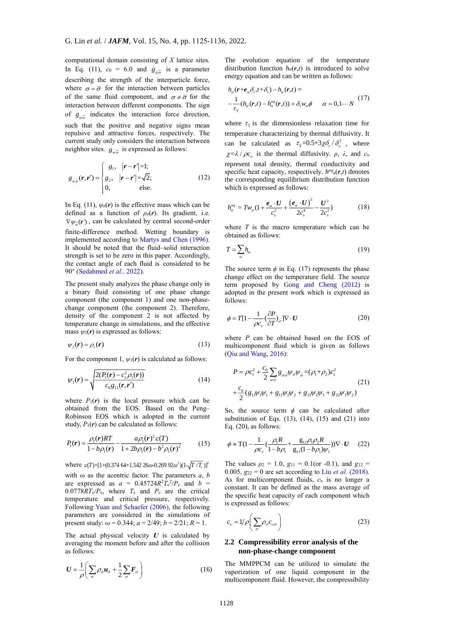computational domain consisting of *X* lattice sites. In Eq. (11),  $c_0 = 6.0$  and  $g_{\sigma\bar{\sigma}}$  is a parameter describing the strength of the interparticle force, where  $\sigma = \bar{\sigma}$  for the interaction between particles of the same fluid component, and  $\sigma \neq \bar{\sigma}$  for the interaction between different components. The sign of  $g_{\sigma\sigma}$  indicates the interaction force direction, such that the positive and negative signs mean repulsive and attractive forces, respectively. The current study only considers the interaction between neighbor sites.  $g_{\sigma\sigma}$  is expressed as follows:

$$
g_{\sigma\overline{\sigma}}(\mathbf{r}, \mathbf{r}') = \begin{cases} g_1, & |\mathbf{r} - \mathbf{r}'| = 1; \\ g_2, & |\mathbf{r} - \mathbf{r}'| = \sqrt{2}; \\ 0, & \text{else.} \end{cases}
$$
(12)

In Eq. (11),  $\psi_{\sigma}(\mathbf{r})$  is the effective mass which can be defined as a function of  $\rho_{\sigma}(\mathbf{r})$ . Its gradient, i.e.  $\nabla \psi_{\overline{\sigma}}(\mathbf{r}')$ , can be calculated by central second-order finite-difference method. Wetting boundary is implemented according to [Martys and Chen](#page-10-17) (1996). It should be noted that the fluid–solid interaction strength is set to be zero in this paper. Accordingly, the contact angle of each fluid is considered to be 90° [\(Sedahmed](#page-11-7) *et al.,* 2022).

The present study analyzes the phase change only in a binary fluid consisting of one phase change component (the component 1) and one non-phasechange component (the component 2). Therefore, density of the component 2 is not affected by temperature change in simulations, and the effective mass  $\psi_2(r)$  is expressed as follows:

$$
\psi_2(\mathbf{r}) = \rho_2(\mathbf{r}) \tag{13}
$$

For the component 1, *ψ*1(*r*) is calculated as follows:

$$
\psi_1(\mathbf{r}) = \sqrt{\frac{2(P_1(\mathbf{r}) - c_s^2 \rho_1(\mathbf{r}))}{c_0 g_{11}(\mathbf{r}, \mathbf{r}')}}\tag{14}
$$

where  $P_1(r)$  is the local pressure which can be obtained from the EOS. Based on the Peng– Robinson EOS which is adopted in the current study,  $P_1(r)$  can be calculated as follows:

$$
P_1(\mathbf{r}) = \frac{\rho_1(\mathbf{r})RT}{1 - b\rho_1(\mathbf{r})} - \frac{a\rho_1(\mathbf{r})^2 \varepsilon(T)}{1 + 2b\rho_1(\mathbf{r}) - b^2\rho_1(\mathbf{r})^2}
$$
(15)

where  $\varepsilon(T) = [1 + (0.374 \, 64 + 1.542 \, 26\omega - 0.269 \, 92\omega^2)(1 - \sqrt{T/T_c})]^2$ with  $\omega$  as the acentric factor. The parameters  $a, b$ are expressed as  $a = 0.45724R^2T_c^2/P_c$  and  $b =$  $0.0778RT_c/P_c$ , where  $T_c$  and  $P_c$  are the critical temperature and critical pressure, respectively. Following [Yuan and Schaefer \(2006\),](#page-11-4) the following parameters are considered in the simulations of present study:  $\omega = 0.344$ ;  $a = 2/49$ ;  $b = 2/21$ ;  $R = 1$ .

The actual physical velocity  $U$  is calculated by averaging the moment before and after the collision as follows:

$$
U = \frac{1}{\rho} \left( \sum_{\sigma} \rho_{\sigma} u_{\sigma} + \frac{1}{2} \sum_{\sigma} F_{\sigma} \right)
$$
 (16)

The evolution equation of the temperature distribution function  $h_{\alpha}(r,t)$  is introduced to solve energy equation and can be written as follows:

$$
h_{\alpha}(\mathbf{r}+\mathbf{e}_{\alpha}\delta_{\iota},t+\delta_{\iota})-h_{\alpha}(\mathbf{r},t)=
$$
  

$$
-\frac{1}{\tau_{\mathcal{T}}} (h_{\alpha}(\mathbf{r},t)-h_{\alpha}^{eq}(\mathbf{r},t))+\delta_{\iota}w_{\alpha}\phi \qquad \alpha=0,1\cdots N
$$
 (17)

where  $\tau$ <sup>T</sup> is the dimensionless relaxation time for temperature characterizing by thermal diffusivity. It can be calculated as  $\tau_{\rm T} = 0.5 + 3\chi \delta_{\rm t} / \delta_{\rm x}^2$ , where  $\chi = \lambda / \rho c_{v}$  is the thermal diffusivity.  $\rho$ ,  $\lambda$ , and  $c_{v}$ represent total density, thermal conductivity and specific heat capacity, respectively.  $h^{eq}(r,t)$  denotes the corresponding equilibrium distribution function which is expressed as follows:

$$
h_{\alpha}^{eq} = Tw_{\alpha}(1 + \frac{e_{\alpha} \cdot U}{c_{s}^{2}} + \frac{(e_{\alpha} \cdot U)^{2}}{2c_{s}^{4}} - \frac{U^{2}}{2c_{s}^{2}})
$$
(18)

where *T* is the macro temperature which can be obtained as follows:

$$
T = \sum_{\alpha} h_{\alpha} \tag{19}
$$

The source term  $\phi$  in Eq. (17) represents the phase change effect on the temperature field. The source term proposed by [Gong and Cheng \(2012\)](#page-10-10) is adopted in the present work which is expressed as follows:

$$
\phi = T[1 - \frac{1}{\rho c_v} (\frac{\partial P}{\partial T})_{\rho}] \nabla \cdot U \tag{20}
$$

where *P* can be obtained based on the EOS of multicomponent fluid which is given as follows [\(Qiu and Wang, 2016\)](#page-11-8):

$$
P = \rho c_s^2 + \frac{c_0}{2} \sum_{\sigma \sigma} g_{\sigma \sigma} \psi_{\sigma} \psi_{\sigma} = (\rho_1 + \rho_2) c_s^2
$$
  
+ 
$$
\frac{c_0}{2} (g_{11} \psi_1 \psi_1 + g_{12} \psi_1 \psi_2 + g_{21} \psi_2 \psi_1 + g_{22} \psi_2 \psi_2)
$$
 (21)

So, the source term  $\phi$  can be calculated after substitution of Eqs.  $(13)$ ,  $(14)$ ,  $(15)$  and  $(21)$  into Eq. (20), as follows:

$$
\phi \approx \text{T}(1 - \frac{1}{\rho c_v} \left( \frac{\rho_1 R}{1 - b \rho_1} + \frac{g_{12} \rho_1 \rho_2 R}{g_{11}(1 - b \rho_1) \psi_1} \right)) \nabla \cdot \mathbf{U} \tag{22}
$$

The values  $\rho_2 = 1.0$ ,  $g_{11} = 0.1$  (or -0.1), and  $g_{12} =$ 0.005,  $g_{22} = 0$  are set according to Liu *et al.* [\(2018\).](#page-10-15) As for multicomponent fluids, *c*<sup>υ</sup> is no longer a constant. It can be defined as the mass average of the specific heat capacity of each component which is expressed as follows:

$$
c_v = 1/\rho \left(\sum_{\sigma} \rho_{\sigma} c_{v\sigma}\right)
$$
 (23)

## **2.2 Compressibility error analysis of the non-phase-change component**

The MMPPCM can be utilized to simulate the vaporization of one liquid component in the multicomponent fluid. However, the compressibility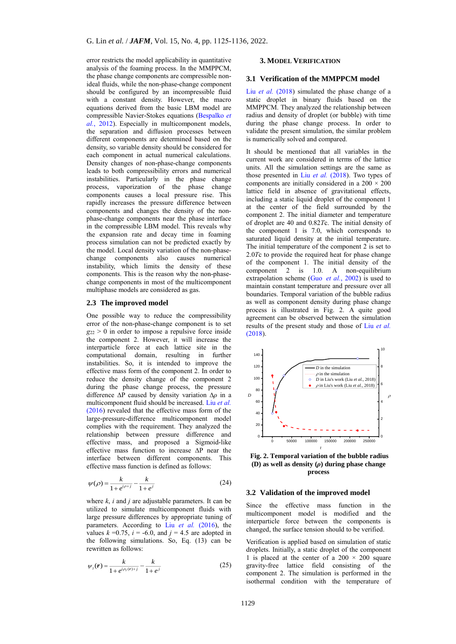error restricts the model applicability in quantitative analysis of the foaming process. In the MMPPCM, the phase change components are compressible nonideal fluids, while the non-phase-change component should be configured by an incompressible fluid with a constant density. However, the macro equations derived from the basic LBM model are compressible Navier-Stokes equations [\(Bespalko](#page-10-18) *et al.*[, 2012\)](#page-10-18). Especially in multicomponent models, the separation and diffusion processes between different components are determined based on the density, so variable density should be considered for each component in actual numerical calculations. Density changes of non-phase-change components leads to both compressibility errors and numerical instabilities. Particularly in the phase change process, vaporization of the phase change components causes a local pressure rise. This rapidly increases the pressure difference between components and changes the density of the nonphase-change components near the phase interface in the compressible LBM model. This reveals why the expansion rate and decay time in foaming process simulation can not be predicted exactly by the model. Local density variation of the non-phasechange components also causes numerical instability, which limits the density of these components. This is the reason why the non-phasechange components in most of the multicomponent multiphase models are considered as gas.

#### **2.3 The improved model**

One possible way to reduce the compressibility error of the non-phase-change component is to set  $g_{22} > 0$  in order to impose a repulsive force inside the component 2. However, it will increase the interparticle force at each lattice site in the computational domain, resulting in further instabilities. So, it is intended to improve the effective mass form of the component 2. In order to reduce the density change of the component 2 during the phase change process, the pressure difference ∆P caused by density variation ∆*ρ* in a multicomponent fluid should be increased. Liu *[et al.](#page-10-19)* [\(2016\)](#page-10-19) revealed that the effective mass form of the large-pressure-difference multicomponent model complies with the requirement. They analyzed the relationship between pressure difference and effective mass, and proposed a Sigmoid-like effective mass function to increase ∆P near the interface between different components. This effective mass function is defined as follows:

$$
\psi(\rho) = \frac{k}{1 + e^{i\rho + j}} - \frac{k}{1 + e^{j}}\tag{24}
$$

where *k*, *i* and *j* are adjustable parameters. It can be utilized to simulate multicomponent fluids with large pressure differences by appropriate tuning of parameters. According to Liu et al. [\(2016\)](#page-10-19), the values  $k = 0.75$ ,  $i = -6.0$ , and  $i = 4.5$  are adopted in the following simulations. So, Eq. (13) can be rewritten as follows:

$$
\psi_2(\mathbf{r}) = \frac{k}{1 + e^{i\rho_2(\mathbf{r}) + j}} - \frac{k}{1 + e^j} \tag{25}
$$

### **3. MODEL VERIFICATION**

#### **3.1 Verification of the MMPPCM model**

Liu *et al.* [\(2018\)](#page-10-15) simulated the phase change of a static droplet in binary fluids based on the MMPPCM. They analyzed the relationship between radius and density of droplet (or bubble) with time during the phase change process. In order to validate the present simulation, the similar problem is numerically solved and compared.

It should be mentioned that all variables in the current work are considered in terms of the lattice units. All the simulation settings are the same as those presented in Liu et al. [\(2018\)](#page-10-15). Two types of components are initially considered in a  $200 \times 200$ lattice field in absence of gravitational effects, including a static liquid droplet of the component 1 at the center of the field surrounded by the component 2. The initial diameter and temperature of droplet are 40 and 0.82*T*c. The initial density of the component 1 is 7.0, which corresponds to saturated liquid density at the initial temperature. The initial temperature of the component 2 is set to 2.0*T*c to provide the required heat for phase change of the component 1. The initial density of the component 2 is 1.0. A non-equilibrium extrapolation scheme (Guo *et al.*[, 2002\)](#page-10-20) is used to maintain constant temperature and pressure over all boundaries. Temporal variation of the bubble radius as well as component density during phase change process is illustrated in Fig. 2. A quite good agreement can be observed between the simulation results of the present study and those of Liu *[et al.](#page-10-15)*   $(2018)$ 



**Fig. 2. Temporal variation of the bubble radius (D) as well as density (***ρ***) during phase change process**

### **3.2 Validation of the improved model**

Since the effective mass function in the multicomponent model is modified and the interparticle force between the components is changed, the surface tension should to be verified.

Verification is applied based on simulation of static droplets. Initially, a static droplet of the component 1 is placed at the center of a  $200 \times 200$  square gravity-free lattice field consisting of the component 2. The simulation is performed in the isothermal condition with the temperature of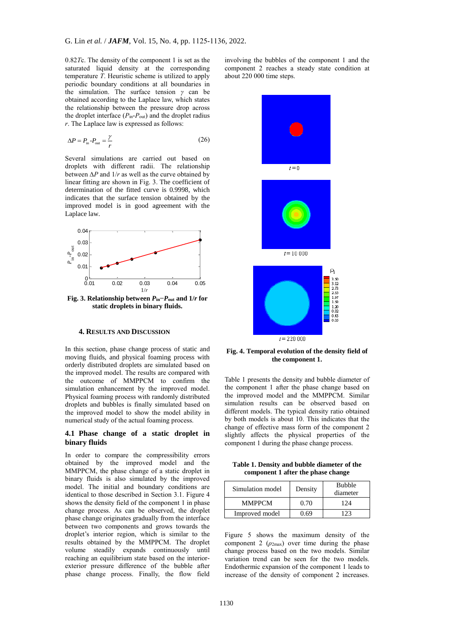0.82*T*c. The density of the component 1 is set as the saturated liquid density at the corresponding temperature *T*. Heuristic scheme is utilized to apply periodic boundary conditions at all boundaries in the simulation. The surface tension *γ* can be obtained according to the Laplace law, which states the relationship between the pressure drop across the droplet interface  $(P_{in} - P_{out})$  and the droplet radius *r*. The Laplace law is expressed as follows:

$$
\Delta P = P_{\text{in}} - P_{\text{out}} = \frac{\gamma}{r} \tag{26}
$$

Several simulations are carried out based on droplets with different radii. The relationship between ∆*P* and 1/*r* as well as the curve obtained by linear fitting are shown in Fig. 3. The coefficient of determination of the fitted curve is 0.9998, which indicates that the surface tension obtained by the improved model is in good agreement with the Laplace law.



**Fig. 3. Relationship between** *P***in−***P***out and 1/***r* **for static droplets in binary fluids.**

## **4. RESULTS AND DISCUSSION**

In this section, phase change process of static and moving fluids, and physical foaming process with orderly distributed droplets are simulated based on the improved model. The results are compared with the outcome of MMPPCM to confirm the simulation enhancement by the improved model. Physical foaming process with randomly distributed droplets and bubbles is finally simulated based on the improved model to show the model ability in numerical study of the actual foaming process.

## **4.1 Phase change of a static droplet in binary fluids**

In order to compare the compressibility errors obtained by the improved model and the MMPPCM, the phase change of a static droplet in binary fluids is also simulated by the improved model. The initial and boundary conditions are identical to those described in Section 3.1. Figure 4 shows the density field of the component 1 in phase change process. As can be observed, the droplet phase change originates gradually from the interface between two components and grows towards the droplet's interior region, which is similar to the results obtained by the MMPPCM. The droplet volume steadily expands continuously until reaching an equilibrium state based on the interiorexterior pressure difference of the bubble after phase change process. Finally, the flow field

involving the bubbles of the component 1 and the component 2 reaches a steady state condition at about 220 000 time steps.



**Fig. 4. Temporal evolution of the density field of the component 1.**

Table 1 presents the density and bubble diameter of the component 1 after the phase change based on the improved model and the MMPPCM. Similar simulation results can be observed based on different models. The typical density ratio obtained by both models is about 10. This indicates that the change of effective mass form of the component 2 slightly affects the physical properties of the component 1 during the phase change process.

**Table 1. Density and bubble diameter of the component 1 after the phase change**

| Simulation model | Density | <b>Bubble</b><br>diameter |
|------------------|---------|---------------------------|
| <b>MMPPCM</b>    | 0.70    | 124                       |
| Improved model   | ) 69    |                           |

Figure 5 shows the maximum density of the component 2  $(\rho_{2max})$  over time during the phase change process based on the two models. Similar variation trend can be seen for the two models. Endothermic expansion of the component 1 leads to increase of the density of component 2 increases.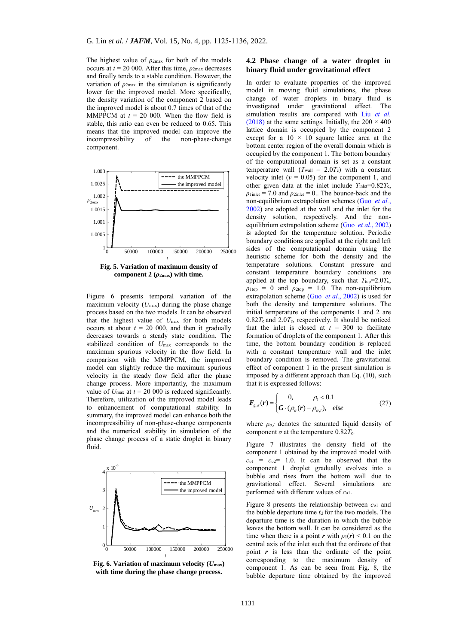The highest value of  $\rho_{2\text{max}}$  for both of the models occurs at  $t = 20,000$ . After this time,  $\rho_{2\text{max}}$  decreases and finally tends to a stable condition. However, the variation of *ρ*2max in the simulation is significantly lower for the improved model. More specifically, the density variation of the component  $\overline{2}$  based on the improved model is about 0.7 times of that of the MMPPCM at  $t = 20,000$ . When the flow field is stable, this ratio can even be reduced to 0.65. This means that the improved model can improve the incompressibility of the non-phase-change component.



component 2  $(\rho_{2max})$  with time.

Figure 6 presents temporal variation of the maximum velocity (*U*max) during the phase change process based on the two models. It can be observed that the highest value of *U*max for both models occurs at about  $t = 20,000$ , and then it gradually decreases towards a steady state condition. The stabilized condition of *U*max corresponds to the maximum spurious velocity in the flow field. In comparison with the MMPPCM, the improved model can slightly reduce the maximum spurious velocity in the steady flow field after the phase change process. More importantly, the maximum value of  $U_{\text{max}}$  at  $t = 20,000$  is reduced significantly. Therefore, utilization of the improved model leads to enhancement of computational stability. In summary, the improved model can enhance both the incompressibility of non-phase-change components and the numerical stability in simulation of the phase change process of a static droplet in binary fluid.



Fig. 6. Variation of maximum velocity  $(U_{\text{max}})$ **with time during the phase change process.**

## **4.2 Phase change of a water droplet in binary fluid under gravitational effect**

In order to evaluate properties of the improved model in moving fluid simulations, the phase change of water droplets in binary fluid is investigated under gravitational effect. The simulation results are compared with Liu et al. [\(2018\)](#page-10-15) at the same settings. Initially, the  $200 \times 400$ lattice domain is occupied by the component 2 except for a  $10 \times 10$  square lattice area at the bottom center region of the overall domain which is occupied by the component 1. The bottom boundary of the computational domain is set as a constant temperature wall  $(T_{wall} = 2.0T_c)$  with a constant velocity inlet  $(v = 0.05)$  for the component 1, and other given data at the inlet include  $T_{\text{inlet}}=0.82T_c$ ,  $\rho$ <sub>1inlet</sub> = 7.0 and  $\rho$ <sub>2inlet</sub> = 0.. The bounce-back and the non-equilibrium extrapolation schemes (Guo *[et al.](#page-10-20)*, [2002\)](#page-10-20) are adopted at the wall and the inlet for the density solution, respectively. And the nonequilibrium extrapolation scheme (Guo *et al.*[, 2002\)](#page-10-20) is adopted for the temperature solution. Periodic boundary conditions are applied at the right and left sides of the computational domain using the heuristic scheme for both the density and the temperature solutions. Constant pressure and constant temperature boundary conditions are applied at the top boundary, such that  $T_{top}=2.0T_c$ ,  $\rho_{1\text{top}} = 0$  and  $\rho_{2\text{top}} = 1.0$ . The non-equilibrium extrapolation scheme (Guo *et al.*[, 2002\)](#page-10-20) is used for both the density and temperature solutions. The initial temperature of the components 1 and 2 are  $0.82T_c$  and  $2.0T_c$ , respectively. It should be noticed that the inlet is closed at  $t = 300$  to facilitate formation of droplets of the component 1. After this time, the bottom boundary condition is replaced with a constant temperature wall and the inlet boundary condition is removed. The gravitational effect of component 1 in the present simulation is imposed by a different approach than Eq. (10), such that it is expressed follows:

$$
\boldsymbol{F}_{g,\sigma}(\boldsymbol{r}) = \begin{cases} 0, & \rho_1 < 0.1 \\ \boldsymbol{G} \cdot (\rho_{\sigma}(\boldsymbol{r}) - \rho_{\sigma,l}), & else \end{cases}
$$
(27)

where  $\rho_{\sigma,l}$  denotes the saturated liquid density of component  $\sigma$  at the temperature 0.82 $\tilde{T}_{c}$ .

Figure 7 illustrates the density field of the component 1 obtained by the improved model with  $c_{v1}$  =  $c_{v2}$  = 1.0. It can be observed that the component 1 droplet gradually evolves into a bubble and rises from the bottom wall due to gravitational effect. Several simulations are performed with different values of *c*υ1.

Figure 8 presents the relationship between *c*υ1 and the bubble departure time  $t_d$  for the two models. The departure time is the duration in which the bubble leaves the bottom wall. It can be considered as the time when there is a point *r* with  $\rho_1(r) \leq 0.1$  on the central axis of the inlet such that the ordinate of that point  $r$  is less than the ordinate of the point corresponding to the maximum density of component 1. As can be seen from Fig. 8, the bubble departure time obtained by the improved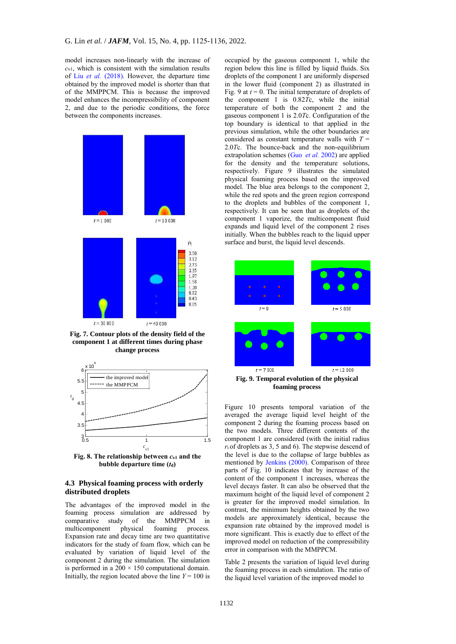model increases non-linearly with the increase of *c*υ1, which is consistent with the simulation results of Liu *et al.* [\(2018\)](#page-10-15). However, the departure time obtained by the improved model is shorter than that of the MMPPCM. This is because the improved model enhances the incompressibility of component 2, and due to the periodic conditions, the force between the components increases.



**Fig. 7. Contour plots of the density field of the component 1 at different times during phase change process**



**Fig. 8. The relationship between** *c***υ1 and the bubble departure time**  $(t_d)$ 

# **4.3 Physical foaming process with orderly distributed droplets**

The advantages of the improved model in the foaming process simulation are addressed by comparative study of the MMPPCM in comparative study of the MMPPCM in<br>multicomponent physical foaming process. multicomponent physical foaming process. Expansion rate and decay time are two quantitative indicators for the study of foam flow, which can be evaluated by variation of liquid level of the component 2 during the simulation. The simulation is performed in a  $200 \times 150$  computational domain. Initially, the region located above the line  $Y = 100$  is

occupied by the gaseous component 1, while the region below this line is filled by liquid fluids. Six droplets of the component 1 are uniformly dispersed in the lower fluid (component 2) as illustrated in Fig. 9 at  $t = 0$ . The initial temperature of droplets of the component 1 is 0.82*T*c, while the initial temperature of both the component 2 and the gaseous component 1 is 2.0*T*c. Configuration of the top boundary is identical to that applied in the previous simulation, while the other boundaries are considered as constant temperature walls with *T* = 2.0*T*c. The bounce-back and the non-equilibrium extrapolation schemes (Guo *et al.* [2002\)](#page-10-20) are applied for the density and the temperature solutions, respectively. Figure 9 illustrates the simulated physical foaming process based on the improved model. The blue area belongs to the component 2, while the red spots and the green region correspond to the droplets and bubbles of the component 1, respectively. It can be seen that as droplets of the component 1 vaporize, the multicomponent fluid expands and liquid level of the component 2 rises initially. When the bubbles reach to the liquid upper surface and burst, the liquid level descends.



**foaming process**

Figure 10 presents temporal variation of the averaged the average liquid level height of the component 2 during the foaming process based on the two models. Three different contents of the component 1 are considered (with the initial radius  $r_i$  of droplets as 3, 5 and 6). The stepwise descend of the level is due to the collapse of large bubbles as mentioned by [Jenkins \(2000\).](#page-10-21) Comparison of three parts of Fig. 10 indicates that by increase of the content of the component 1 increases, whereas the level decays faster. It can also be observed that the maximum height of the liquid level of component 2 is greater for the improved model simulation. In contrast, the minimum heights obtained by the two models are approximately identical, because the expansion rate obtained by the improved model is more significant. This is exactly due to effect of the improved model on reduction of the compressibility error in comparison with the MMPPCM.

Table 2 presents the variation of liquid level during the foaming process in each simulation. The ratio of the liquid level variation of the improved model to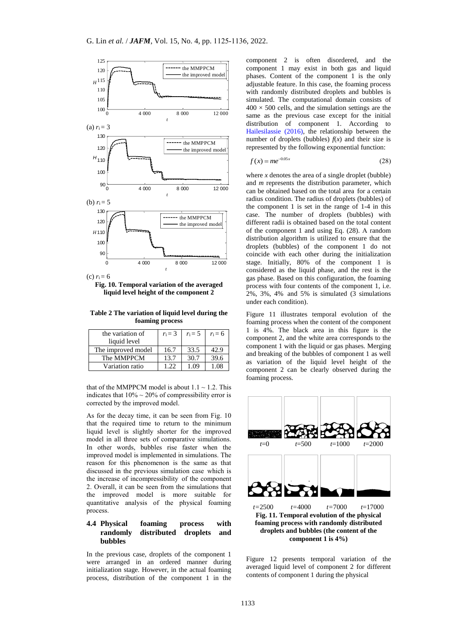

**Fig. 10. Temporal variation of the averaged liquid level height of the component 2**

**Table 2 The variation of liquid level during the foaming process**

| the variation of<br>liquid level | $r_i = 3$ | $r_i = 5$ | $r_i = 6$ |
|----------------------------------|-----------|-----------|-----------|
| The improved model               | 16.7      | 33.5      | 42.9      |
| The MMPPCM                       | 13.7      | 30.7      | 39.6      |
| Variation ratio                  | 1 77      | 1.09      | .08       |

that of the MMPPCM model is about  $1.1 \sim 1.2$ . This indicates that  $10\% \sim 20\%$  of compressibility error is corrected by the improved model.

As for the decay time, it can be seen from Fig. 10 that the required time to return to the minimum liquid level is slightly shorter for the improved model in all three sets of comparative simulations. In other words, bubbles rise faster when the improved model is implemented in simulations. The reason for this phenomenon is the same as that discussed in the previous simulation case which is the increase of incompressibility of the component 2. Overall, it can be seen from the simulations that the improved model is more suitable for quantitative analysis of the physical foaming process.

## **4.4 Physical foaming process with randomly distributed droplets and bubbles**

In the previous case, droplets of the component 1 were arranged in an ordered manner during initialization stage. However, in the actual foaming process, distribution of the component 1 in the

component 2 is often disordered, and the component 1 may exist in both gas and liquid phases. Content of the component 1 is the only adjustable feature. In this case, the foaming process with randomly distributed droplets and bubbles is simulated. The computational domain consists of  $400 \times 500$  cells, and the simulation settings are the same as the previous case except for the initial distribution of component 1. According to [Hailesilassie](#page-10-22) (2016), the relationship between the number of droplets (bubbles)  $f(x)$  and their size is represented by the following exponential function:

$$
f(x) = me^{-0.05x}
$$
\n<sup>(28)</sup>

where  $x$  denotes the area of a single droplet (bubble) and *m* represents the distribution parameter, which can be obtained based on the total area for a certain radius condition. The radius of droplets (bubbles) of the component 1 is set in the range of 1-4 in this case. The number of droplets (bubbles) with different radii is obtained based on the total content of the component 1 and using Eq. (28). A random distribution algorithm is utilized to ensure that the droplets (bubbles) of the component 1 do not coincide with each other during the initialization stage. Initially, 80% of the component 1 is considered as the liquid phase, and the rest is the gas phase. Based on this configuration, the foaming process with four contents of the component 1, i.e. 2%, 3%, 4% and 5% is simulated (3 simulations under each condition).

Figure 11 illustrates temporal evolution of the foaming process when the content of the component 1 is 4%. The black area in this figure is the component 2, and the white area corresponds to the component 1 with the liquid or gas phases. Merging and breaking of the bubbles of component 1 as well as variation of the liquid level height of the component 2 can be clearly observed during the foaming process.



**droplets and bubbles (the content of the component 1 is 4%)**

Figure 12 presents temporal variation of the averaged liquid level of component 2 for different contents of component 1 during the physical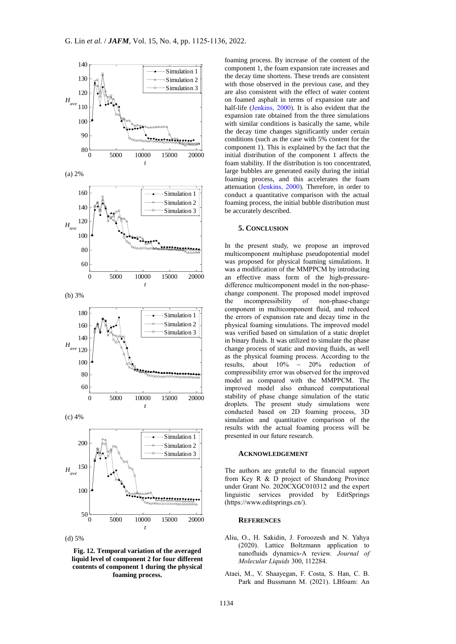





foaming process. By increase of the content of the component 1, the foam expansion rate increases and the decay time shortens. These trends are consistent with those observed in the previous case, and they are also consistent with the effect of water content on foamed asphalt in terms of expansion rate and half-life [\(Jenkins, 2000\)](#page-10-21). It is also evident that the expansion rate obtained from the three simulations with similar conditions is basically the same, while the decay time changes significantly under certain conditions (such as the case with 5% content for the component 1). This is explained by the fact that the initial distribution of the component 1 affects the foam stability. If the distribution is too concentrated, large bubbles are generated easily during the initial foaming process, and this accelerates the foam attenuation [\(Jenkins, 2000\)](#page-10-21). Therefore, in order to conduct a quantitative comparison with the actual foaming process, the initial bubble distribution must be accurately described.

## **5. CONCLUSION**

In the present study, we propose an improved multicomponent multiphase pseudopotential model was proposed for physical foaming simulations. It was a modification of the MMPPCM by introducing an effective mass form of the high-pressuredifference multicomponent model in the non-phasechange component. The proposed model improved the incompressibility of non-phase-change component in multicomponent fluid, and reduced the errors of expansion rate and decay time in the physical foaming simulations. The improved model was verified based on simulation of a static droplet in binary fluids. It was utilized to simulate the phase change process of static and moving fluids, as well as the physical foaming process. According to the results, about  $10\% \sim 20\%$  reduction of compressibility error was observed for the improved model as compared with the MMPPCM. The improved model also enhanced computational stability of phase change simulation of the static droplets. The present study simulations were conducted based on 2D foaming process, 3D simulation and quantitative comparison of the results with the actual foaming process will be presented in our future research.

### **ACKNOWLEDGEMENT**

The authors are grateful to the financial support from Key R & D project of Shandong Province under Grant No. 2020CXGC010312 and the expert linguistic services provided by EditSprings (https://www.editsprings.cn/).

#### **REFERENCES**

- <span id="page-9-0"></span>Aliu, O., H. Sakidin, J. Foroozesh and N. Yahya (2020). Lattice Boltzmann application to nanofluids dynamics-A review. *Journal of Molecular Liquids* 300, 112284.
- <span id="page-9-1"></span>Ataei, M., V. Shaayegan, F. Costa, S. Han, C. B. Park and Bussmann M. (2021). LBfoam: An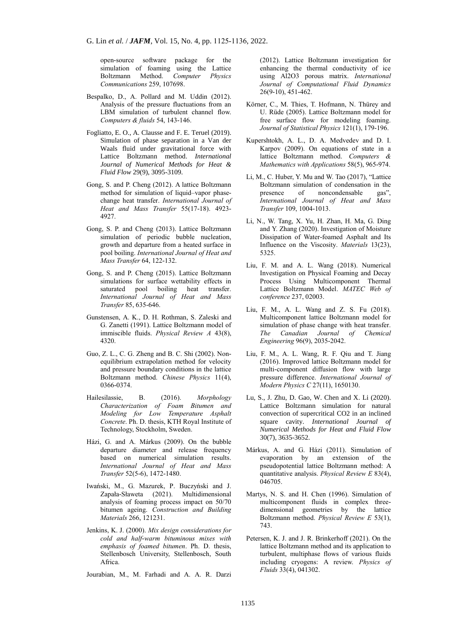open-source software package for the simulation of foaming using the Lattice Boltzmann Method. *Computer Physics Communications* 259, 107698.

- <span id="page-10-18"></span>Bespalko, D., A. Pollard and M. Uddin (2012). Analysis of the pressure fluctuations from an LBM simulation of turbulent channel flow. *Computers & fluids* 54, 143-146.
- <span id="page-10-2"></span>Fogliatto, E. O., A. Clausse and F. E. Teruel (2019). Simulation of phase separation in a Van der Waals fluid under gravitational force with Lattice Boltzmann method. *International Journal of Numerical Methods for Heat & Fluid Flow* 29(9), 3095-3109.
- <span id="page-10-10"></span>Gong, S. and P. Cheng (2012). A lattice Boltzmann method for simulation of liquid–vapor phasechange heat transfer. *International Journal of Heat and Mass Transfer* 55(17-18). 4923- 4927.
- <span id="page-10-11"></span>Gong, S. P. and Cheng (2013). Lattice Boltzmann simulation of periodic bubble nucleation, growth and departure from a heated surface in pool boiling. *International Journal of Heat and Mass Transfer* 64, 122-132.
- <span id="page-10-12"></span>Gong, S. and P. Cheng (2015). Lattice Boltzmann simulations for surface wettability effects in saturated pool boiling heat transfer. *International Journal of Heat and Mass Transfer* 85, 635-646.
- <span id="page-10-6"></span>Gunstensen, A. K., D. H. Rothman, S. Zaleski and G. Zanetti (1991). Lattice Boltzmann model of immiscible fluids. *Physical Review A* 43(8), 4320.
- <span id="page-10-20"></span>Guo, Z. L., C. G. Zheng and B. C. Shi (2002). Nonequilibrium extrapolation method for velocity and pressure boundary conditions in the lattice Boltzmann method. *Chinese Physics* 11(4), 0366-0374.
- <span id="page-10-22"></span>Hailesilassie, B. (2016). *Morphology Characterization of Foam Bitumen and Modeling for Low Temperature Asphalt Concrete*. Ph. D. thesis, KTH Royal Institute of Technology, Stockholm, Sweden.
- <span id="page-10-8"></span>Házi, G. and A. Márkus (2009). On the bubble departure diameter and release frequency based on numerical simulation results. *International Journal of Heat and Mass Transfer* 52(5-6), 1472-1480.
- <span id="page-10-0"></span>Iwański, M., G. Mazurek, P. Buczyński and J. Zapała-Sławeta (2021). Multidimensional analysis of foaming process impact on 50/70 bitumen ageing. *Construction and Building Materials* 266, 121231.
- <span id="page-10-21"></span>Jenkins, K. J. (2000). *Mix design considerations for cold and half-warm bituminous mixes with emphasis of foamed bitumen*. Ph. D. thesis, Stellenbosch University, Stellenbosch, South Africa.
- <span id="page-10-3"></span>Jourabian, M., M. Farhadi and A. A. R. Darzi

(2012). Lattice Boltzmann investigation for enhancing the thermal conductivity of ice using Al2O3 porous matrix. *International Journal of Computational Fluid Dynamics* 26(9-10), 451-462.

- <span id="page-10-5"></span>Körner, C., M. Thies, T. Hofmann, N. Thürey and U. Rüde (2005). Lattice Boltzmann model for free surface flow for modeling foaming. *Journal of Statistical Physics* 121(1), 179-196.
- <span id="page-10-16"></span>Kupershtokh, A. L., D. A. Medvedev and D. I. Karpov (2009). On equations of state in a lattice Boltzmann method. *Computers & Mathematics with Applications* 58(5), 965-974.
- <span id="page-10-13"></span>Li, M., C. Huber, Y. Mu and W. Tao (2017), "Lattice Boltzmann simulation of condensation in the presence of noncondensable gas", *International Journal of Heat and Mass Transfer* 109, 1004-1013.
- <span id="page-10-1"></span>Li, N., W. Tang, X. Yu, H. Zhan, H. Ma, G. Ding and Y. Zhang (2020). Investigation of Moisture Dissipation of Water-foamed Asphalt and Its Influence on the Viscosity. *Materials* 13(23), 5325.
- <span id="page-10-15"></span>Liu, F. M. and A. L. Wang (2018). Numerical Investigation on Physical Foaming and Decay Process Using Multicomponent Thermal Lattice Boltzmann Model. *MATEC Web of conference* 237, 02003.
- <span id="page-10-14"></span>Liu, F. M., A. L. Wang and Z. S. Fu (2018). Multicomponent lattice Boltzmann model for simulation of phase change with heat transfer. *The Canadian Journal of Chemical Engineering* 96(9), 2035-2042.
- <span id="page-10-19"></span>Liu, F. M., A. L. Wang, R. F. Qiu and T. Jiang (2016). Improved lattice Boltzmann model for multi-component diffusion flow with large pressure difference. *International Journal of Modern Physics C* 27(11), 1650130.
- <span id="page-10-4"></span>Lu, S., J. Zhu, D. Gao, W. Chen and X. Li (2020). Lattice Boltzmann simulation for natural convection of supercritical CO2 in an inclined square cavity. *International Journal of Numerical Methods for Heat and Fluid Flow* 30(7), 3635-3652.
- <span id="page-10-9"></span>Márkus, A. and G. Házi (2011). Simulation of evaporation by an extension of the pseudopotential lattice Boltzmann method: A quantitative analysis. *Physical Review E* 83(4), 046705.
- <span id="page-10-17"></span>Martys, N. S. and H. Chen (1996). Simulation of multicomponent fluids in complex threedimensional geometries by the lattice Boltzmann method. *Physical Review E* 53(1), 743.
- <span id="page-10-7"></span>Petersen, K. J. and J. R. Brinkerhoff (2021). On the lattice Boltzmann method and its application to turbulent, multiphase flows of various fluids including cryogens: A review. *Physics of Fluids* 33(4), 041302.